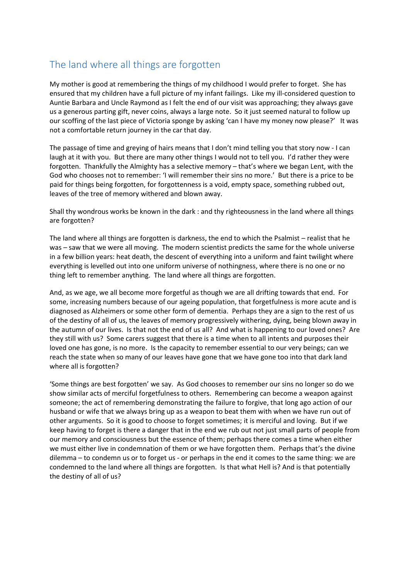## The land where all things are forgotten

My mother is good at remembering the things of my childhood I would prefer to forget. She has ensured that my children have a full picture of my infant failings. Like my ill-considered question to Auntie Barbara and Uncle Raymond as I felt the end of our visit was approaching; they always gave us a generous parting gift, never coins, always a large note. So it just seemed natural to follow up our scoffing of the last piece of Victoria sponge by asking 'can I have my money now please?' It was not a comfortable return journey in the car that day.

The passage of time and greying of hairs means that I don't mind telling you that story now - I can laugh at it with you. But there are many other things I would not to tell you. I'd rather they were forgotten. Thankfully the Almighty has a selective memory – that's where we began Lent, with the God who chooses not to remember: 'I will remember their sins no more.' But there is a price to be paid for things being forgotten, for forgottenness is a void, empty space, something rubbed out, leaves of the tree of memory withered and blown away.

Shall thy wondrous works be known in the dark : and thy righteousness in the land where all things are forgotten?

The land where all things are forgotten is darkness, the end to which the Psalmist – realist that he was – saw that we were all moving. The modern scientist predicts the same for the whole universe in a few billion years: heat death, the descent of everything into a uniform and faint twilight where everything is levelled out into one uniform universe of nothingness, where there is no one or no thing left to remember anything. The land where all things are forgotten.

And, as we age, we all become more forgetful as though we are all drifting towards that end. For some, increasing numbers because of our ageing population, that forgetfulness is more acute and is diagnosed as Alzheimers or some other form of dementia. Perhaps they are a sign to the rest of us of the destiny of all of us, the leaves of memory progressively withering, dying, being blown away in the autumn of our lives. Is that not the end of us all? And what is happening to our loved ones? Are they still with us? Some carers suggest that there is a time when to all intents and purposes their loved one has gone, is no more. Is the capacity to remember essential to our very beings; can we reach the state when so many of our leaves have gone that we have gone too into that dark land where all is forgotten?

'Some things are best forgotten' we say. As God chooses to remember our sins no longer so do we show similar acts of merciful forgetfulness to others. Remembering can become a weapon against someone; the act of remembering demonstrating the failure to forgive, that long ago action of our husband or wife that we always bring up as a weapon to beat them with when we have run out of other arguments. So it is good to choose to forget sometimes; it is merciful and loving. But if we keep having to forget is there a danger that in the end we rub out not just small parts of people from our memory and consciousness but the essence of them; perhaps there comes a time when either we must either live in condemnation of them or we have forgotten them. Perhaps that's the divine dilemma – to condemn us or to forget us - or perhaps in the end it comes to the same thing: we are condemned to the land where all things are forgotten. Is that what Hell is? And is that potentially the destiny of all of us?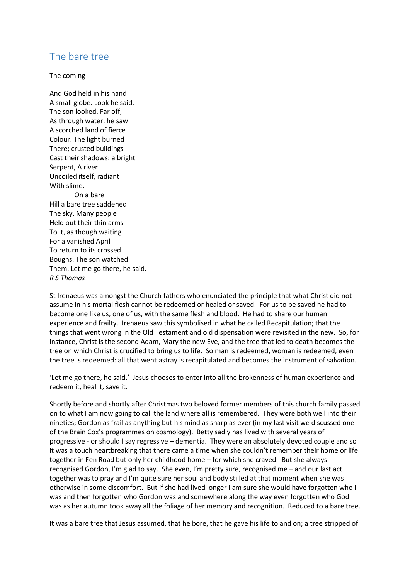## The bare tree

The coming

And God held in his hand A small globe. Look he said. The son looked. Far off, As through water, he saw A scorched land of fierce Colour. The light burned There; crusted buildings Cast their shadows: a bright Serpent, A river Uncoiled itself, radiant With slime. On a bare Hill a bare tree saddened The sky. Many people Held out their thin arms To it, as though waiting For a vanished April To return to its crossed Boughs. The son watched Them. Let me go there, he said. *R S Thomas*

St Irenaeus was amongst the Church fathers who enunciated the principle that what Christ did not assume in his mortal flesh cannot be redeemed or healed or saved. For us to be saved he had to become one like us, one of us, with the same flesh and blood. He had to share our human experience and frailty. Irenaeus saw this symbolised in what he called Recapitulation; that the things that went wrong in the Old Testament and old dispensation were revisited in the new. So, for instance, Christ is the second Adam, Mary the new Eve, and the tree that led to death becomes the tree on which Christ is crucified to bring us to life. So man is redeemed, woman is redeemed, even the tree is redeemed: all that went astray is recapitulated and becomes the instrument of salvation.

'Let me go there, he said.' Jesus chooses to enter into all the brokenness of human experience and redeem it, heal it, save it.

Shortly before and shortly after Christmas two beloved former members of this church family passed on to what I am now going to call the land where all is remembered. They were both well into their nineties; Gordon as frail as anything but his mind as sharp as ever (in my last visit we discussed one of the Brain Cox's programmes on cosmology). Betty sadly has lived with several years of progressive - or should I say regressive – dementia. They were an absolutely devoted couple and so it was a touch heartbreaking that there came a time when she couldn't remember their home or life together in Fen Road but only her childhood home – for which she craved. But she always recognised Gordon, I'm glad to say. She even, I'm pretty sure, recognised me – and our last act together was to pray and I'm quite sure her soul and body stilled at that moment when she was otherwise in some discomfort. But if she had lived longer I am sure she would have forgotten who I was and then forgotten who Gordon was and somewhere along the way even forgotten who God was as her autumn took away all the foliage of her memory and recognition. Reduced to a bare tree.

It was a bare tree that Jesus assumed, that he bore, that he gave his life to and on; a tree stripped of